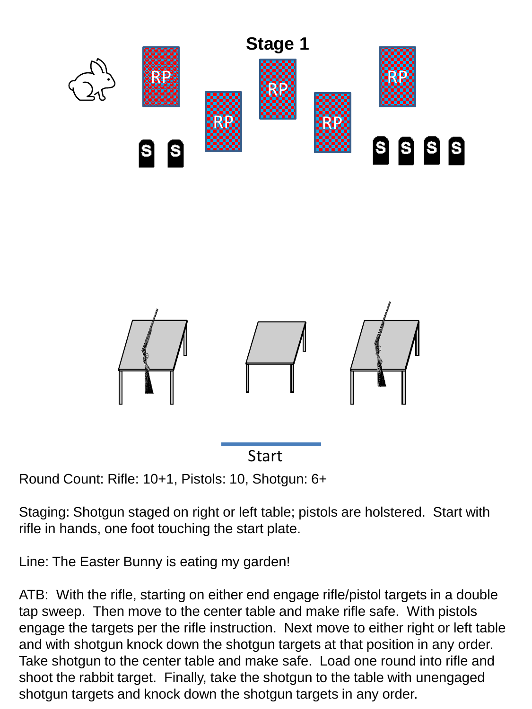



Round Count: Rifle: 10+1, Pistols: 10, Shotgun: 6+

Staging: Shotgun staged on right or left table; pistols are holstered. Start with rifle in hands, one foot touching the start plate.

Line: The Easter Bunny is eating my garden!

ATB: With the rifle, starting on either end engage rifle/pistol targets in a double tap sweep. Then move to the center table and make rifle safe. With pistols engage the targets per the rifle instruction. Next move to either right or left table and with shotgun knock down the shotgun targets at that position in any order. Take shotgun to the center table and make safe. Load one round into rifle and shoot the rabbit target. Finally, take the shotgun to the table with unengaged shotgun targets and knock down the shotgun targets in any order.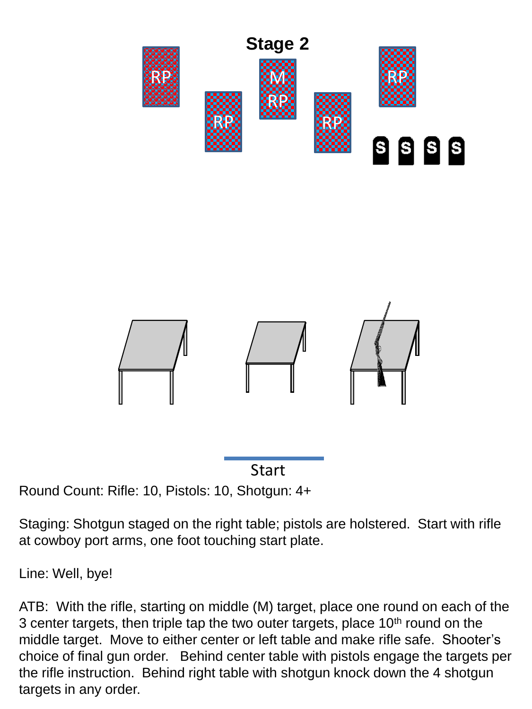



Round Count: Rifle: 10, Pistols: 10, Shotgun: 4+

Staging: Shotgun staged on the right table; pistols are holstered. Start with rifle at cowboy port arms, one foot touching start plate.

Line: Well, bye!

ATB: With the rifle, starting on middle (M) target, place one round on each of the 3 center targets, then triple tap the two outer targets, place  $10<sup>th</sup>$  round on the middle target. Move to either center or left table and make rifle safe. Shooter's choice of final gun order. Behind center table with pistols engage the targets per the rifle instruction. Behind right table with shotgun knock down the 4 shotgun targets in any order.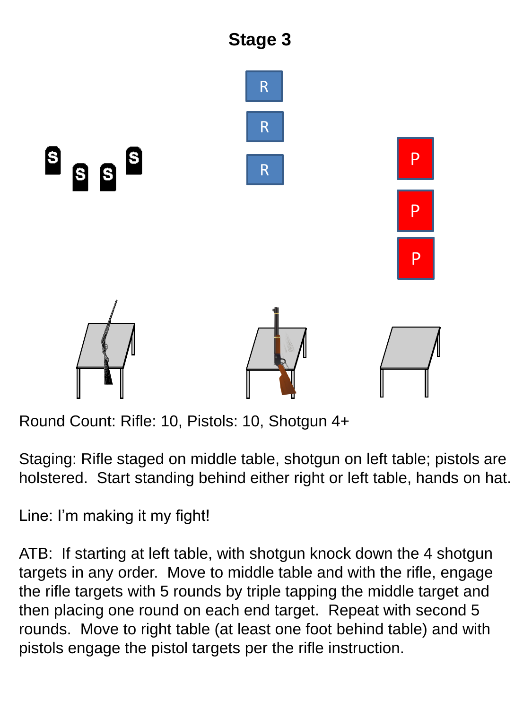

Round Count: Rifle: 10, Pistols: 10, Shotgun 4+

Staging: Rifle staged on middle table, shotgun on left table; pistols are holstered. Start standing behind either right or left table, hands on hat.

Line: I'm making it my fight!

ATB: If starting at left table, with shotgun knock down the 4 shotgun targets in any order. Move to middle table and with the rifle, engage the rifle targets with 5 rounds by triple tapping the middle target and then placing one round on each end target. Repeat with second 5 rounds. Move to right table (at least one foot behind table) and with pistols engage the pistol targets per the rifle instruction.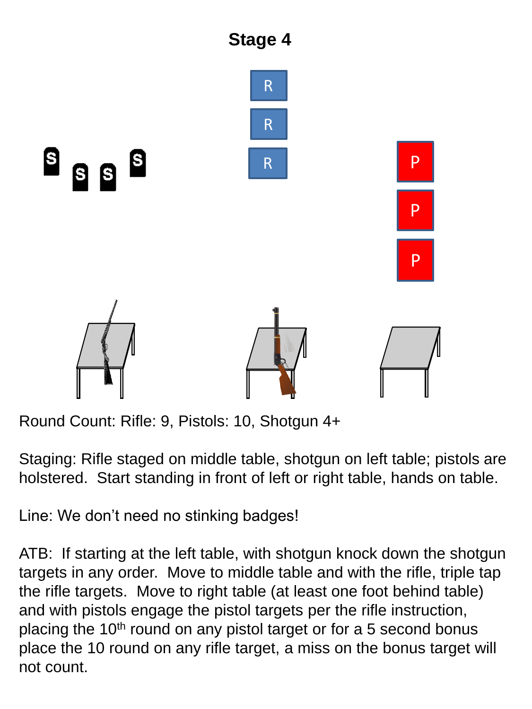

Round Count: Rifle: 9, Pistols: 10, Shotgun 4+

Staging: Rifle staged on middle table, shotgun on left table; pistols are holstered. Start standing in front of left or right table, hands on table.

Line: We don't need no stinking badges!

ATB: If starting at the left table, with shotgun knock down the shotgun targets in any order. Move to middle table and with the rifle, triple tap the rifle targets. Move to right table (at least one foot behind table) and with pistols engage the pistol targets per the rifle instruction, placing the  $10<sup>th</sup>$  round on any pistol target or for a 5 second bonus place the 10 round on any rifle target, a miss on the bonus target will not count.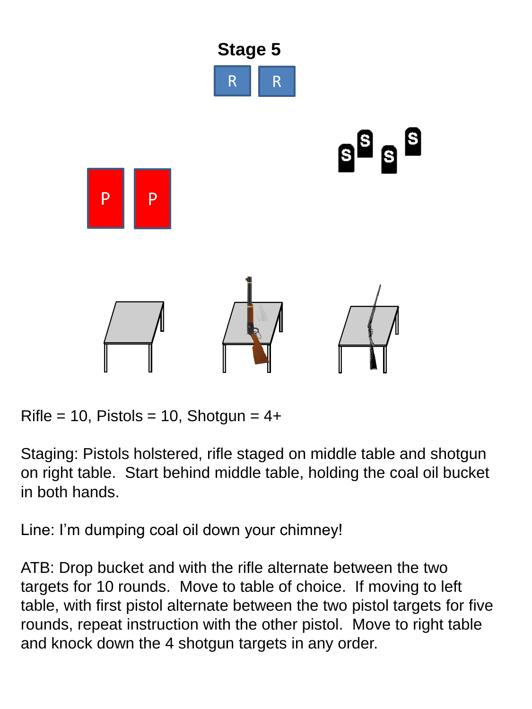

 $Rifle = 10$ , Pistols = 10, Shotgun =  $4+$ 

Staging: Pistols holstered, rifle staged on middle table and shotgun on right table. Start behind middle table, holding the coal oil bucket in both hands.

Line: I'm dumping coal oil down your chimney!

ATB: Drop bucket and with the rifle alternate between the two targets for 10 rounds. Move to table of choice. If moving to left table, with first pistol alternate between the two pistol targets for five rounds, repeat instruction with the other pistol. Move to right table and knock down the 4 shotgun targets in any order.